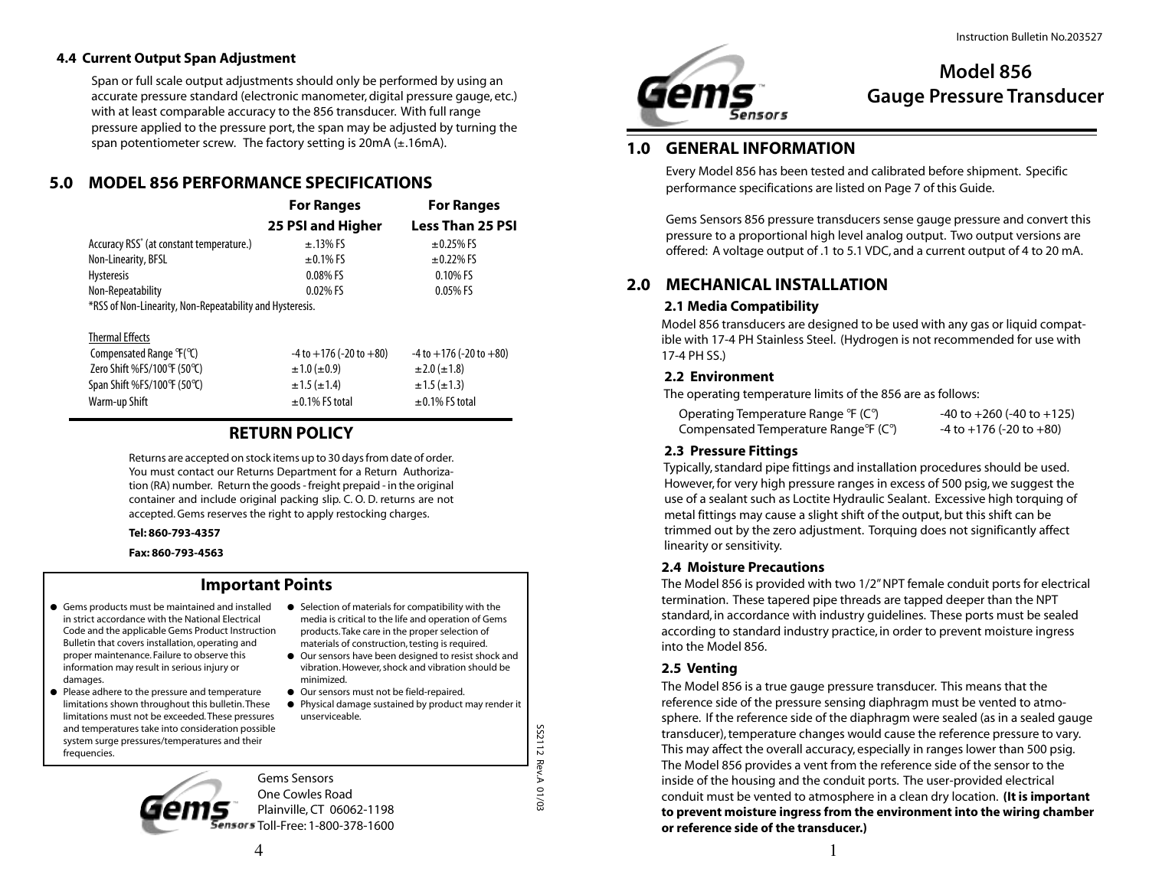#### **4.4 Current Output Span Adjustment**

Span or full scale output adjustments should only be performed by using an accurate pressure standard (electronic manometer, digital pressure gauge, etc.) with at least comparable accuracy to the 856 transducer. With full range pressure applied to the pressure port, the span may be adjusted by turning the span potentiometer screw. The factory setting is  $20mA (\pm .16mA)$ .

# **5.0 MODEL 856 PERFORMANCE SPECIFICATIONS**

|                                                          | <b>For Ranges</b> | <b>For Ranges</b>       |
|----------------------------------------------------------|-------------------|-------------------------|
|                                                          | 25 PSI and Higher | <b>Less Than 25 PSI</b> |
| Accuracy RSS <sup>*</sup> (at constant temperature.)     | $\pm$ .13% FS     | $\pm$ 0.25% FS          |
| Non-Linearity, BFSL                                      | $\pm$ 0.1% FS     | $\pm$ 0.22% FS          |
| <b>Hysteresis</b>                                        | $0.08\%$ FS       | 0.10% FS                |
| Non-Repeatability                                        | 0.02% FS          | 0.05% FS                |
| *RSS of Non-Linearity, Non-Repeatability and Hysteresis. |                   |                         |

#### Thermal Effects

| $-4$ to $+176$ ( $-20$ to $+80$ ) | $-4$ to $+176$ (-20 to $+80$ ) |
|-----------------------------------|--------------------------------|
| $\pm 1.0$ ( $\pm 0.9$ )           | $\pm 2.0$ ( $\pm 1.8$ )        |
| $\pm 1.5 (\pm 1.4)$               | $\pm 1.5 (\pm 1.3)$            |
| $\pm$ 0.1% FS total               | $\pm$ 0.1% FS total            |
|                                   |                                |

# **RETURN POLICY**

Returns are accepted on stock items up to 30 days from date of order. You must contact our Returns Department for a Return Authorization (RA) number. Return the goods - freight prepaid - in the original container and include original packing slip. C. O. D. returns are not accepted. Gems reserves the right to apply restocking charges.

#### **Tel: 860-793-4357**

**Fax: 860-793-4563**

#### **Important Points**

- Gems products must be maintained and installed in strict accordance with the National Electrical Code and the applicable Gems Product Instruction Bulletin that covers installation, operating and proper maintenance. Failure to observe this information may result in serious injury or damages.
- Please adhere to the pressure and temperature limitations shown throughout this bulletin. These limitations must not be exceeded. These pressures and temperatures take into consideration possible system surge pressures/temperatures and their frequencies.
- Selection of materials for compatibility with the media is critical to the life and operation of Gems products. Take care in the proper selection of materials of construction, testing is required.
- Our sensors have been designed to resist shock and vibration. However, shock and vibration should be minimized.
- Our sensors must not be field-repaired. ● Physical damage sustained by product may render it unserviceable.

 SS2112 Rev.A 01/03 **SS2112 Rev.A** 01/03

Gems Sensors One Cowles Road Plainville, CT 06062-1198 nsors Toll-Free: 1-800-378-1600



# **Model 856 Gauge Pressure Transducer**

# **1.0 GENERAL INFORMATION**

Every Model 856 has been tested and calibrated before shipment. Specific performance specifications are listed on Page 7 of this Guide.

Gems Sensors 856 pressure transducers sense gauge pressure and convert this pressure to a proportional high level analog output. Two output versions are offered: A voltage output of .1 to 5.1 VDC, and a current output of 4 to 20 mA.

# **2.0 MECHANICAL INSTALLATION**

#### **2.1 Media Compatibility**

Model 856 transducers are designed to be used with any gas or liquid compatible with 17-4 PH Stainless Steel. (Hydrogen is not recommended for use with 17-4 PH SS.)

#### **2.2 Environment**

The operating temperature limits of the 856 are as follows:

| Operating Temperature Range °F (C°)                            | $-40$ to $+260$ ( $-40$ to $+125$ ) |
|----------------------------------------------------------------|-------------------------------------|
| Compensated Temperature Range <sup>o</sup> F (C <sup>o</sup> ) | $-4$ to $+176$ (-20 to $+80$ )      |

#### **2.3 Pressure Fittings**

 Typically, standard pipe fittings and installation procedures should be used. However, for very high pressure ranges in excess of 500 psig, we suggest the use of a sealant such as Loctite Hydraulic Sealant. Excessive high torquing of metal fittings may cause a slight shift of the output, but this shift can be trimmed out by the zero adjustment. Torquing does not significantly affect linearity or sensitivity.

#### **2.4 Moisture Precautions**

The Model 856 is provided with two 1/2" NPT female conduit ports for electrical termination. These tapered pipe threads are tapped deeper than the NPT standard, in accordance with industry guidelines. These ports must be sealed according to standard industry practice, in order to prevent moisture ingress into the Model 856.

#### **2.5 Venting**

The Model 856 is a true gauge pressure transducer. This means that the reference side of the pressure sensing diaphragm must be vented to atmosphere. If the reference side of the diaphragm were sealed (as in a sealed gauge transducer), temperature changes would cause the reference pressure to vary. This may affect the overall accuracy, especially in ranges lower than 500 psig. The Model 856 provides a vent from the reference side of the sensor to the inside of the housing and the conduit ports. The user-provided electrical conduit must be vented to atmosphere in a clean dry location. **(It is important to prevent moisture ingress from the environment into the wiring chamber or reference side of the transducer.)**